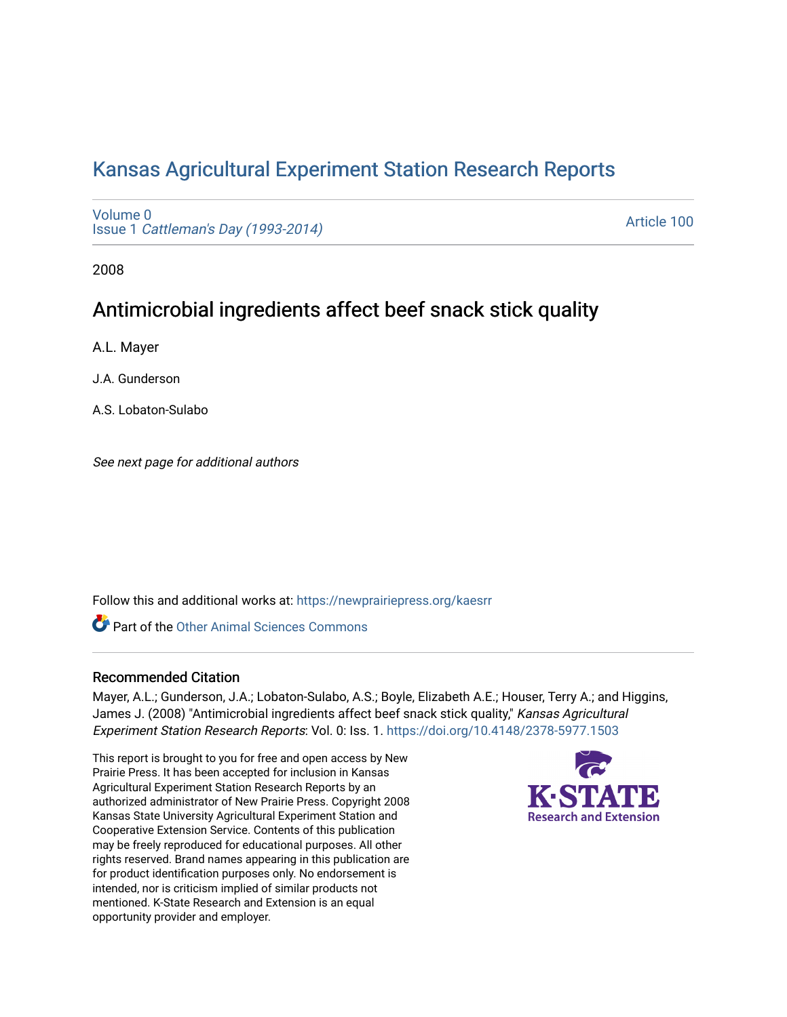# [Kansas Agricultural Experiment Station Research Reports](https://newprairiepress.org/kaesrr)

[Volume 0](https://newprairiepress.org/kaesrr/vol0) Issue 1 [Cattleman's Day \(1993-2014\)](https://newprairiepress.org/kaesrr/vol0/iss1) 

[Article 100](https://newprairiepress.org/kaesrr/vol0/iss1/100) 

2008

# Antimicrobial ingredients affect beef snack stick quality

A.L. Mayer

J.A. Gunderson

A.S. Lobaton-Sulabo

See next page for additional authors

Follow this and additional works at: [https://newprairiepress.org/kaesrr](https://newprairiepress.org/kaesrr?utm_source=newprairiepress.org%2Fkaesrr%2Fvol0%2Fiss1%2F100&utm_medium=PDF&utm_campaign=PDFCoverPages) 

**C** Part of the [Other Animal Sciences Commons](http://network.bepress.com/hgg/discipline/82?utm_source=newprairiepress.org%2Fkaesrr%2Fvol0%2Fiss1%2F100&utm_medium=PDF&utm_campaign=PDFCoverPages)

### Recommended Citation

Mayer, A.L.; Gunderson, J.A.; Lobaton-Sulabo, A.S.; Boyle, Elizabeth A.E.; Houser, Terry A.; and Higgins, James J. (2008) "Antimicrobial ingredients affect beef snack stick quality," Kansas Agricultural Experiment Station Research Reports: Vol. 0: Iss. 1. <https://doi.org/10.4148/2378-5977.1503>

This report is brought to you for free and open access by New Prairie Press. It has been accepted for inclusion in Kansas Agricultural Experiment Station Research Reports by an authorized administrator of New Prairie Press. Copyright 2008 Kansas State University Agricultural Experiment Station and Cooperative Extension Service. Contents of this publication may be freely reproduced for educational purposes. All other rights reserved. Brand names appearing in this publication are for product identification purposes only. No endorsement is intended, nor is criticism implied of similar products not mentioned. K-State Research and Extension is an equal opportunity provider and employer.

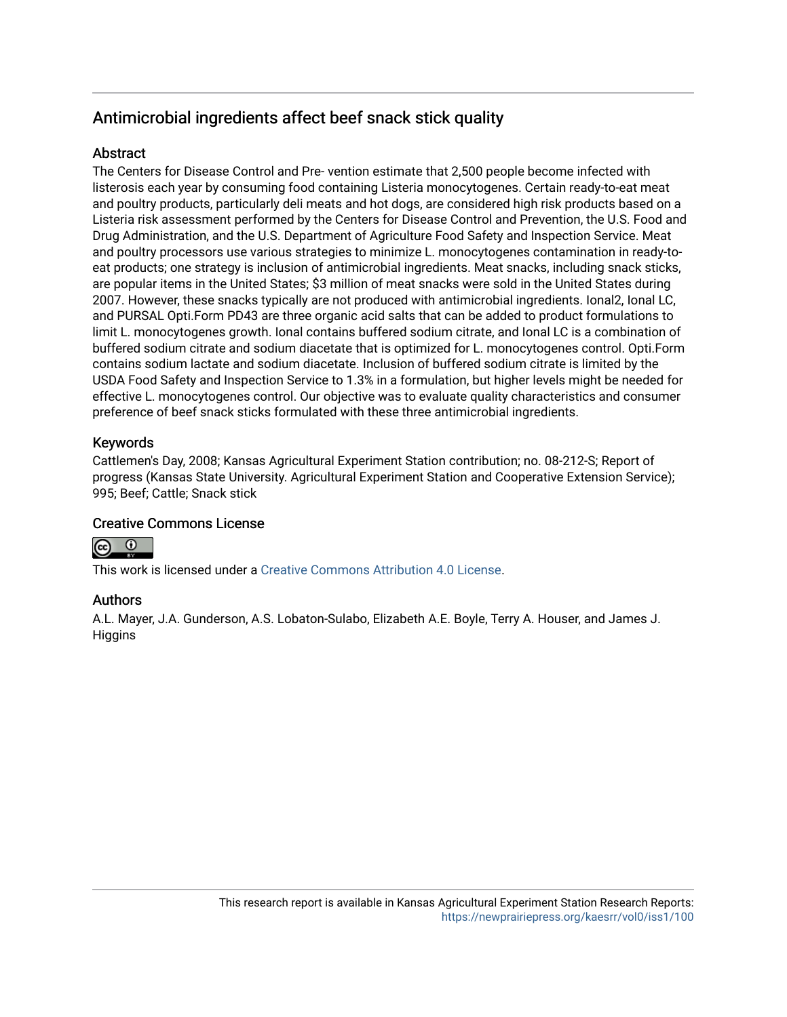## Antimicrobial ingredients affect beef snack stick quality

## **Abstract**

The Centers for Disease Control and Pre- vention estimate that 2,500 people become infected with listerosis each year by consuming food containing Listeria monocytogenes. Certain ready-to-eat meat and poultry products, particularly deli meats and hot dogs, are considered high risk products based on a Listeria risk assessment performed by the Centers for Disease Control and Prevention, the U.S. Food and Drug Administration, and the U.S. Department of Agriculture Food Safety and Inspection Service. Meat and poultry processors use various strategies to minimize L. monocytogenes contamination in ready-toeat products; one strategy is inclusion of antimicrobial ingredients. Meat snacks, including snack sticks, are popular items in the United States; \$3 million of meat snacks were sold in the United States during 2007. However, these snacks typically are not produced with antimicrobial ingredients. Ional2, Ional LC, and PURSAL Opti.Form PD43 are three organic acid salts that can be added to product formulations to limit L. monocytogenes growth. Ional contains buffered sodium citrate, and Ional LC is a combination of buffered sodium citrate and sodium diacetate that is optimized for L. monocytogenes control. Opti.Form contains sodium lactate and sodium diacetate. Inclusion of buffered sodium citrate is limited by the USDA Food Safety and Inspection Service to 1.3% in a formulation, but higher levels might be needed for effective L. monocytogenes control. Our objective was to evaluate quality characteristics and consumer preference of beef snack sticks formulated with these three antimicrobial ingredients.

## Keywords

Cattlemen's Day, 2008; Kansas Agricultural Experiment Station contribution; no. 08-212-S; Report of progress (Kansas State University. Agricultural Experiment Station and Cooperative Extension Service); 995; Beef; Cattle; Snack stick

## Creative Commons License



This work is licensed under a [Creative Commons Attribution 4.0 License](https://creativecommons.org/licenses/by/4.0/).

## Authors

A.L. Mayer, J.A. Gunderson, A.S. Lobaton-Sulabo, Elizabeth A.E. Boyle, Terry A. Houser, and James J. **Higgins**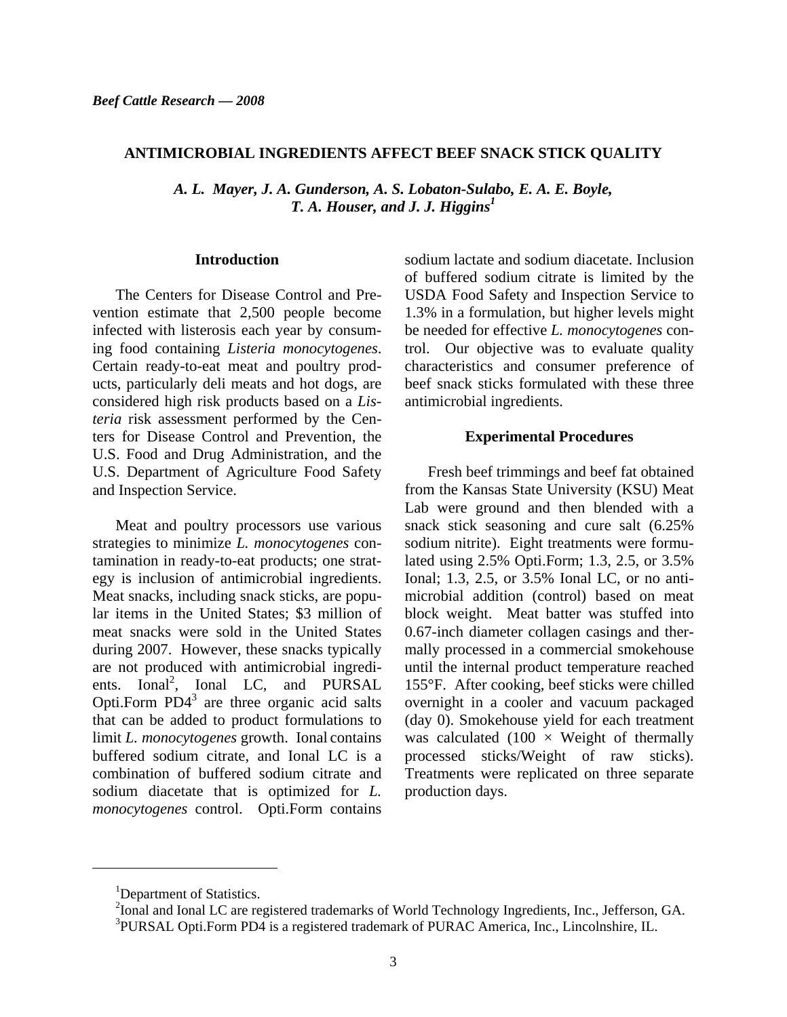#### **ANTIMICROBIAL INGREDIENTS AFFECT BEEF SNACK STICK QUALITY**

*A. L. Mayer, J. A. Gunderson, A. S. Lobaton-Sulabo, E. A. E. Boyle, T. A. Houser, and J. J. Higgins*<sup> $I$ </sup>

#### **Introduction**

The Centers for Disease Control and Prevention estimate that 2,500 people become infected with listerosis each year by consuming food containing *Listeria monocytogenes*. Certain ready-to-eat meat and poultry products, particularly deli meats and hot dogs, are considered high risk products based on a *Listeria* risk assessment performed by the Centers for Disease Control and Prevention, the U.S. Food and Drug Administration, and the U.S. Department of Agriculture Food Safety and Inspection Service.

Meat and poultry processors use various strategies to minimize *L. monocytogenes* contamination in ready-to-eat products; one strategy is inclusion of antimicrobial ingredients. Meat snacks, including snack sticks, are popular items in the United States; \$3 million of meat snacks were sold in the United States during 2007. However, these snacks typically are not produced with antimicrobial ingredients. Ional<sup>2</sup>, Ional LC, and PURSAL Opti.Form  $PD4<sup>3</sup>$  are three organic acid salts that can be added to product formulations to limit *L. monocytogenes* growth. Ional contains buffered sodium citrate, and Ional LC is a combination of buffered sodium citrate and sodium diacetate that is optimized for *L. monocytogenes* control. Opti.Form contains

sodium lactate and sodium diacetate. Inclusion of buffered sodium citrate is limited by the USDA Food Safety and Inspection Service to 1.3% in a formulation, but higher levels might be needed for effective *L. monocytogenes* control. Our objective was to evaluate quality characteristics and consumer preference of beef snack sticks formulated with these three antimicrobial ingredients.

#### **Experimental Procedures**

 Fresh beef trimmings and beef fat obtained from the Kansas State University (KSU) Meat Lab were ground and then blended with a snack stick seasoning and cure salt (6.25% sodium nitrite). Eight treatments were formulated using 2.5% Opti.Form; 1.3, 2.5, or 3.5% Ional; 1.3, 2.5, or 3.5% Ional LC, or no antimicrobial addition (control) based on meat block weight. Meat batter was stuffed into 0.67-inch diameter collagen casings and thermally processed in a commercial smokehouse until the internal product temperature reached 155°F. After cooking, beef sticks were chilled overnight in a cooler and vacuum packaged (day 0). Smokehouse yield for each treatment was calculated  $(100 \times Weight \ of \ thermally)$ processed sticks/Weight of raw sticks). Treatments were replicated on three separate production days.

l

<sup>&</sup>lt;sup>1</sup>Department of Statistics.

 $^{2}$ Ional and Ional LC are registered trademarks of World Technology Ingredients, Inc., Jefferson, GA. <sup>3</sup>PURSAL Opti.Form PD4 is a registered trademark of PURAC America, Inc., Lincolnshire, IL.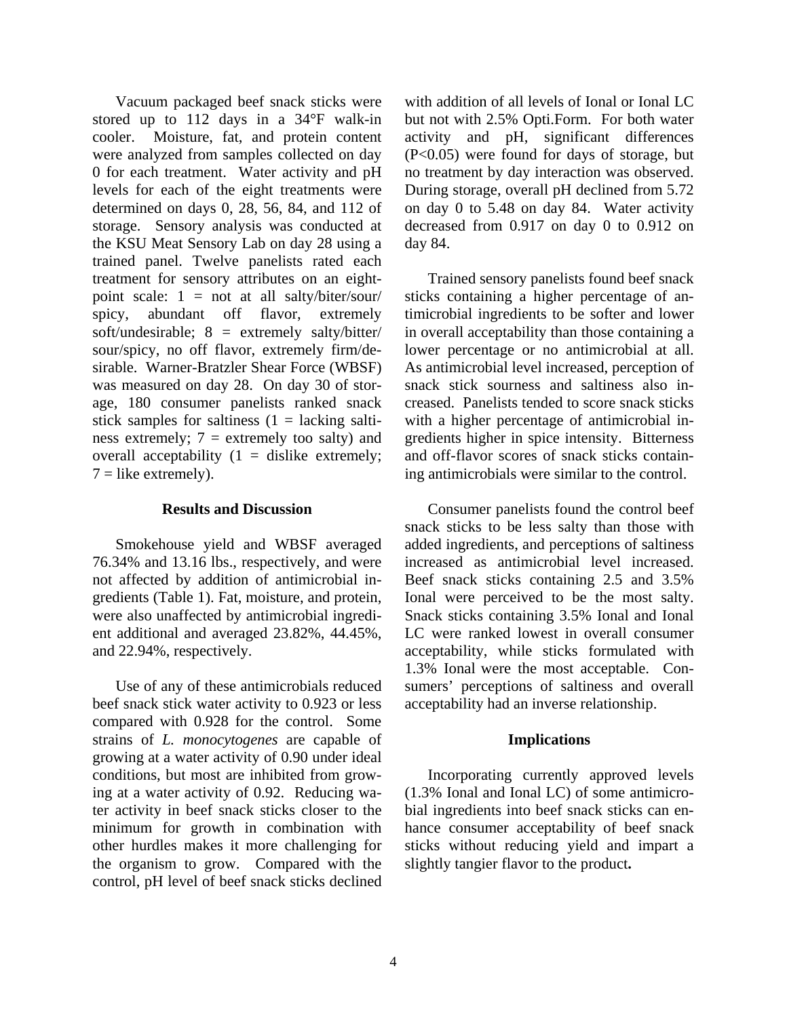Vacuum packaged beef snack sticks were stored up to 112 days in a 34°F walk-in cooler. Moisture, fat, and protein content were analyzed from samples collected on day 0 for each treatment. Water activity and pH levels for each of the eight treatments were determined on days 0, 28, 56, 84, and 112 of storage. Sensory analysis was conducted at the KSU Meat Sensory Lab on day 28 using a trained panel. Twelve panelists rated each treatment for sensory attributes on an eightpoint scale: 1 = not at all salty/biter/sour/ spicy, abundant off flavor, extremely soft/undesirable; 8 = extremely salty/bitter/ sour/spicy, no off flavor, extremely firm/desirable. Warner-Bratzler Shear Force (WBSF) was measured on day 28. On day 30 of storage, 180 consumer panelists ranked snack stick samples for saltiness  $(1 =$  lacking saltiness extremely;  $7 =$  extremely too salty) and overall acceptability  $(1 - \text{display} \text{ex} \text{t} + \text{ex} \text{t})$  $7 =$ like extremely).

### **Results and Discussion**

 Smokehouse yield and WBSF averaged 76.34% and 13.16 lbs., respectively, and were not affected by addition of antimicrobial ingredients (Table 1). Fat, moisture, and protein, were also unaffected by antimicrobial ingredient additional and averaged 23.82%, 44.45%, and 22.94%, respectively.

Use of any of these antimicrobials reduced beef snack stick water activity to 0.923 or less compared with 0.928 for the control. Some strains of *L. monocytogenes* are capable of growing at a water activity of 0.90 under ideal conditions, but most are inhibited from growing at a water activity of 0.92. Reducing water activity in beef snack sticks closer to the minimum for growth in combination with other hurdles makes it more challenging for the organism to grow. Compared with the control, pH level of beef snack sticks declined

with addition of all levels of Ional or Ional LC but not with 2.5% Opti.Form. For both water activity and pH, significant differences (P<0.05) were found for days of storage, but no treatment by day interaction was observed. During storage, overall pH declined from 5.72 on day 0 to 5.48 on day 84. Water activity decreased from 0.917 on day 0 to 0.912 on day 84.

 Trained sensory panelists found beef snack sticks containing a higher percentage of antimicrobial ingredients to be softer and lower in overall acceptability than those containing a lower percentage or no antimicrobial at all. As antimicrobial level increased, perception of snack stick sourness and saltiness also increased. Panelists tended to score snack sticks with a higher percentage of antimicrobial ingredients higher in spice intensity. Bitterness and off-flavor scores of snack sticks containing antimicrobials were similar to the control.

 Consumer panelists found the control beef snack sticks to be less salty than those with added ingredients, and perceptions of saltiness increased as antimicrobial level increased. Beef snack sticks containing 2.5 and 3.5% Ional were perceived to be the most salty. Snack sticks containing 3.5% Ional and Ional LC were ranked lowest in overall consumer acceptability, while sticks formulated with 1.3% Ional were the most acceptable. Consumers' perceptions of saltiness and overall acceptability had an inverse relationship.

### **Implications**

 Incorporating currently approved levels (1.3% Ional and Ional LC) of some antimicrobial ingredients into beef snack sticks can enhance consumer acceptability of beef snack sticks without reducing yield and impart a slightly tangier flavor to the product**.**